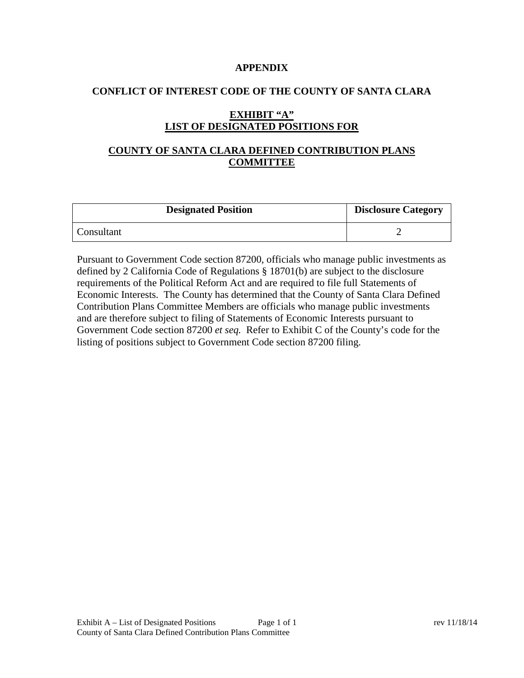#### **APPENDIX**

#### **CONFLICT OF INTEREST CODE OF THE COUNTY OF SANTA CLARA**

# **EXHIBIT "A" LIST OF DESIGNATED POSITIONS FOR**

# **COUNTY OF SANTA CLARA DEFINED CONTRIBUTION PLANS COMMITTEE**

| <b>Designated Position</b> | <b>Disclosure Category</b> |
|----------------------------|----------------------------|
| Consultant                 |                            |

Pursuant to Government Code section 87200, officials who manage public investments as defined by 2 California Code of Regulations § 18701(b) are subject to the disclosure requirements of the Political Reform Act and are required to file full Statements of Economic Interests. The County has determined that the County of Santa Clara Defined Contribution Plans Committee Members are officials who manage public investments and are therefore subject to filing of Statements of Economic Interests pursuant to Government Code section 87200 *et seq.* Refer to Exhibit C of the County's code for the listing of positions subject to Government Code section 87200 filing.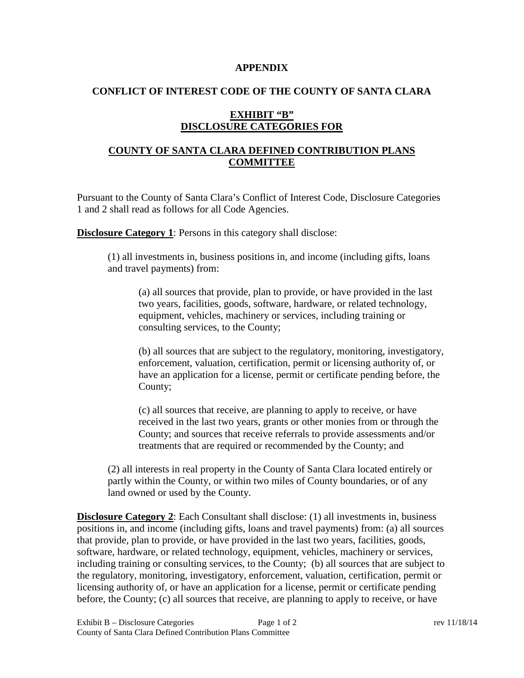#### **APPENDIX**

#### **CONFLICT OF INTEREST CODE OF THE COUNTY OF SANTA CLARA**

### **EXHIBIT "B" DISCLOSURE CATEGORIES FOR**

# **COUNTY OF SANTA CLARA DEFINED CONTRIBUTION PLANS COMMITTEE**

Pursuant to the County of Santa Clara's Conflict of Interest Code, Disclosure Categories 1 and 2 shall read as follows for all Code Agencies.

**Disclosure Category 1**: Persons in this category shall disclose:

(1) all investments in, business positions in, and income (including gifts, loans and travel payments) from:

(a) all sources that provide, plan to provide, or have provided in the last two years, facilities, goods, software, hardware, or related technology, equipment, vehicles, machinery or services, including training or consulting services, to the County;

(b) all sources that are subject to the regulatory, monitoring, investigatory, enforcement, valuation, certification, permit or licensing authority of, or have an application for a license, permit or certificate pending before, the County;

(c) all sources that receive, are planning to apply to receive, or have received in the last two years, grants or other monies from or through the County; and sources that receive referrals to provide assessments and/or treatments that are required or recommended by the County; and

(2) all interests in real property in the County of Santa Clara located entirely or partly within the County, or within two miles of County boundaries, or of any land owned or used by the County.

**Disclosure Category 2**: Each Consultant shall disclose: (1) all investments in, business positions in, and income (including gifts, loans and travel payments) from: (a) all sources that provide, plan to provide, or have provided in the last two years, facilities, goods, software, hardware, or related technology, equipment, vehicles, machinery or services, including training or consulting services, to the County; (b) all sources that are subject to the regulatory, monitoring, investigatory, enforcement, valuation, certification, permit or licensing authority of, or have an application for a license, permit or certificate pending before, the County; (c) all sources that receive, are planning to apply to receive, or have